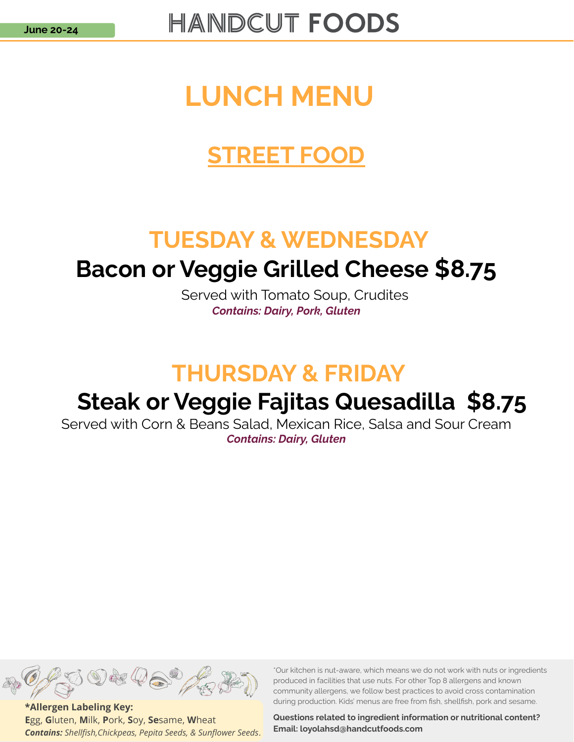### LUNCH MENU

### STREET FOOD

### TUESDAY & WEDNESDAY

# **Bacon or Veggie Grilled Cheese \$8.75**<br>Served with Tomato Soup, Crudites

Contains: Dairy, Pork, Gluten

### THURSDAY & FRIDAY

### Steak or Veggie Fajitas Quesadilla \$8.75

Served with Corn & Beans Salad, Mexican Rice, Salsa and Sour Cream Contains: Dairy, Gluten



\*Allergen Labeling Key: Egg, Gluten, Milk, Pork, Soy, Sesame, Wheat Contains: Shellfish,Chickpeas, Pepita Seeds, & Sunflower Seeds. \*Our kitchen is nut-aware, which means we do not work with nuts or ingredients produced in facilities that use nuts. For other Top 8 allergens and known community allergens, we follow best practices to avoid cross contamination during production. Kids' menus are free from fish, shellfish, pork and sesame.

Questions related to ingredient information or nutritional content? Email: loyolahsd@handcutfoods.com